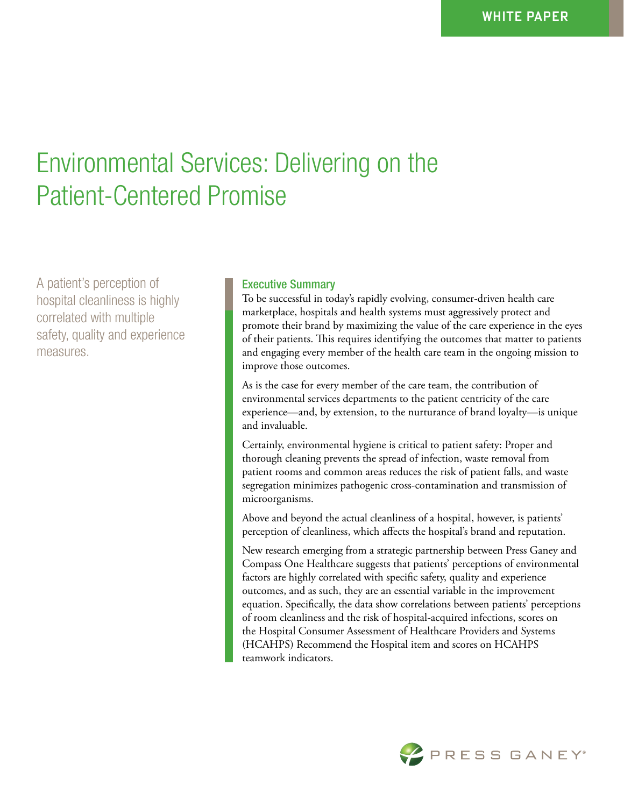# Environmental Services: Delivering on the Patient-Centered Promise

A patient's perception of hospital cleanliness is highly correlated with multiple safety, quality and experience measures.

## Executive Summary

To be successful in today's rapidly evolving, consumer-driven health care marketplace, hospitals and health systems must aggressively protect and promote their brand by maximizing the value of the care experience in the eyes of their patients. This requires identifying the outcomes that matter to patients and engaging every member of the health care team in the ongoing mission to improve those outcomes.

As is the case for every member of the care team, the contribution of environmental services departments to the patient centricity of the care experience—and, by extension, to the nurturance of brand loyalty—is unique and invaluable.

Certainly, environmental hygiene is critical to patient safety: Proper and thorough cleaning prevents the spread of infection, waste removal from patient rooms and common areas reduces the risk of patient falls, and waste segregation minimizes pathogenic cross-contamination and transmission of microorganisms.

Above and beyond the actual cleanliness of a hospital, however, is patients' perception of cleanliness, which affects the hospital's brand and reputation.

New research emerging from a strategic partnership between Press Ganey and Compass One Healthcare suggests that patients' perceptions of environmental factors are highly correlated with specific safety, quality and experience outcomes, and as such, they are an essential variable in the improvement equation. Specifically, the data show correlations between patients' perceptions of room cleanliness and the risk of hospital-acquired infections, scores on the Hospital Consumer Assessment of Healthcare Providers and Systems (HCAHPS) Recommend the Hospital item and scores on HCAHPS teamwork indicators.

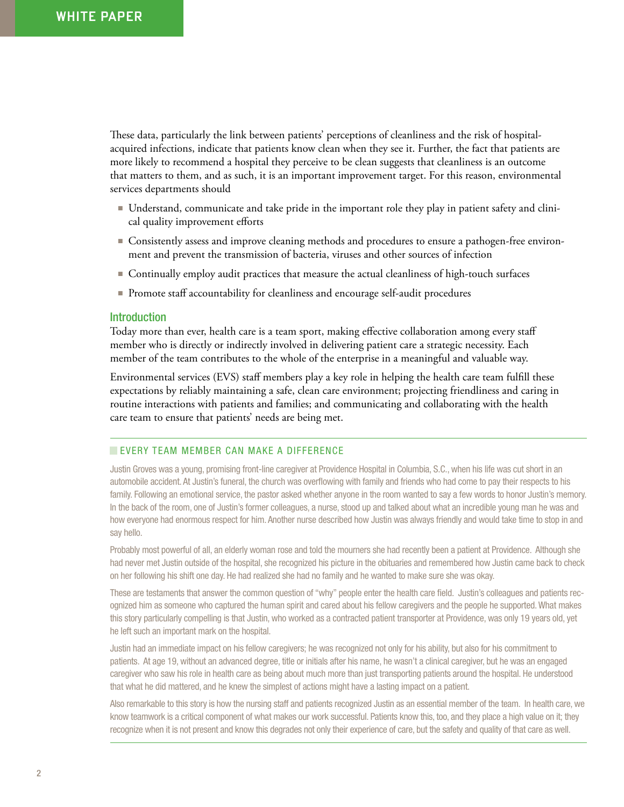These data, particularly the link between patients' perceptions of cleanliness and the risk of hospitalacquired infections, indicate that patients know clean when they see it. Further, the fact that patients are more likely to recommend a hospital they perceive to be clean suggests that cleanliness is an outcome that matters to them, and as such, it is an important improvement target. For this reason, environmental services departments should

- Understand, communicate and take pride in the important role they play in patient safety and clinical quality improvement efforts
- Consistently assess and improve cleaning methods and procedures to ensure a pathogen-free environment and prevent the transmission of bacteria, viruses and other sources of infection
- Continually employ audit practices that measure the actual cleanliness of high-touch surfaces
- Promote staff accountability for cleanliness and encourage self-audit procedures

#### Introduction

Today more than ever, health care is a team sport, making effective collaboration among every staff member who is directly or indirectly involved in delivering patient care a strategic necessity. Each member of the team contributes to the whole of the enterprise in a meaningful and valuable way.

Environmental services (EVS) staff members play a key role in helping the health care team fulfill these expectations by reliably maintaining a safe, clean care environment; projecting friendliness and caring in routine interactions with patients and families; and communicating and collaborating with the health care team to ensure that patients' needs are being met.

### **EVERY TEAM MEMBER CAN MAKE A DIFFERENCE**

Justin Groves was a young, promising front-line caregiver at Providence Hospital in Columbia, S.C., when his life was cut short in an automobile accident. At Justin's funeral, the church was overflowing with family and friends who had come to pay their respects to his family. Following an emotional service, the pastor asked whether anyone in the room wanted to say a few words to honor Justin's memory. In the back of the room, one of Justin's former colleagues, a nurse, stood up and talked about what an incredible young man he was and how everyone had enormous respect for him. Another nurse described how Justin was always friendly and would take time to stop in and say hello.

Probably most powerful of all, an elderly woman rose and told the mourners she had recently been a patient at Providence. Although she had never met Justin outside of the hospital, she recognized his picture in the obituaries and remembered how Justin came back to check on her following his shift one day. He had realized she had no family and he wanted to make sure she was okay.

These are testaments that answer the common question of "why" people enter the health care field. Justin's colleagues and patients recognized him as someone who captured the human spirit and cared about his fellow caregivers and the people he supported. What makes this story particularly compelling is that Justin, who worked as a contracted patient transporter at Providence, was only 19 years old, yet he left such an important mark on the hospital.

Justin had an immediate impact on his fellow caregivers; he was recognized not only for his ability, but also for his commitment to patients. At age 19, without an advanced degree, title or initials after his name, he wasn't a clinical caregiver, but he was an engaged caregiver who saw his role in health care as being about much more than just transporting patients around the hospital. He understood that what he did mattered, and he knew the simplest of actions might have a lasting impact on a patient.

Also remarkable to this story is how the nursing staff and patients recognized Justin as an essential member of the team. In health care, we know teamwork is a critical component of what makes our work successful. Patients know this, too, and they place a high value on it; they recognize when it is not present and know this degrades not only their experience of care, but the safety and quality of that care as well.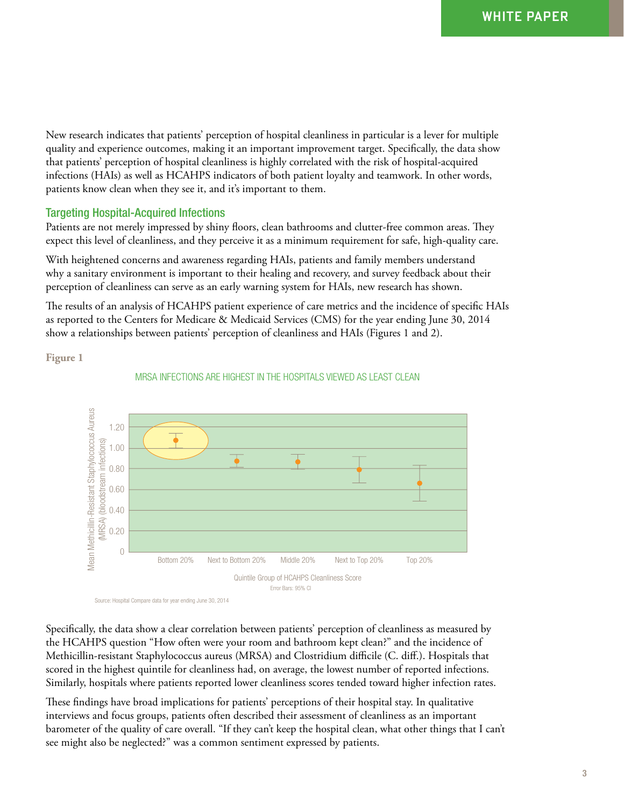New research indicates that patients' perception of hospital cleanliness in particular is a lever for multiple quality and experience outcomes, making it an important improvement target. Specifically, the data show that patients' perception of hospital cleanliness is highly correlated with the risk of hospital-acquired infections (HAIs) as well as HCAHPS indicators of both patient loyalty and teamwork. In other words, patients know clean when they see it, and it's important to them.

## Targeting Hospital-Acquired Infections

Patients are not merely impressed by shiny floors, clean bathrooms and clutter-free common areas. They expect this level of cleanliness, and they perceive it as a minimum requirement for safe, high-quality care.

With heightened concerns and awareness regarding HAIs, patients and family members understand why a sanitary environment is important to their healing and recovery, and survey feedback about their perception of cleanliness can serve as an early warning system for HAIs, new research has shown.

The results of an analysis of HCAHPS patient experience of care metrics and the incidence of specific HAIs as reported to the Centers for Medicare & Medicaid Services (CMS) for the year ending June 30, 2014 show a relationships between patients' perception of cleanliness and HAIs (Figures 1 and 2).

**Figure 1**



#### MRSA INFECTIONS ARE HIGHEST IN THE HOSPITALS VIEWED AS LEAST CLEAN

Specifically, the data show a clear correlation between patients' perception of cleanliness as measured by the HCAHPS question "How often were your room and bathroom kept clean?" and the incidence of Methicillin-resistant Staphylococcus aureus (MRSA) and Clostridium difficile (C. diff.). Hospitals that scored in the highest quintile for cleanliness had, on average, the lowest number of reported infections. Similarly, hospitals where patients reported lower cleanliness scores tended toward higher infection rates.

These findings have broad implications for patients' perceptions of their hospital stay. In qualitative interviews and focus groups, patients often described their assessment of cleanliness as an important barometer of the quality of care overall. "If they can't keep the hospital clean, what other things that I can't see might also be neglected?" was a common sentiment expressed by patients.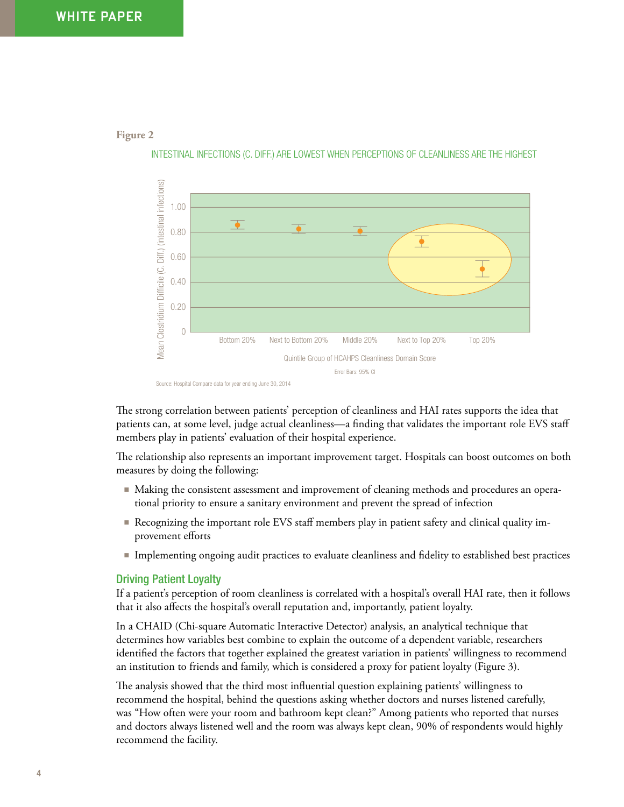**Figure 2**



INTESTINAL INFECTIONS (C. DIFF.) ARE LOWEST WHEN PERCEPTIONS OF CLEANLINESS ARE THE HIGHEST

The strong correlation between patients' perception of cleanliness and HAI rates supports the idea that patients can, at some level, judge actual cleanliness—a finding that validates the important role EVS staff members play in patients' evaluation of their hospital experience.

The relationship also represents an important improvement target. Hospitals can boost outcomes on both measures by doing the following:

- Making the consistent assessment and improvement of cleaning methods and procedures an operational priority to ensure a sanitary environment and prevent the spread of infection
- Recognizing the important role EVS staff members play in patient safety and clinical quality improvement efforts
- Implementing ongoing audit practices to evaluate cleanliness and fidelity to established best practices

#### Driving Patient Loyalty

If a patient's perception of room cleanliness is correlated with a hospital's overall HAI rate, then it follows that it also affects the hospital's overall reputation and, importantly, patient loyalty.

In a CHAID (Chi-square Automatic Interactive Detector) analysis, an analytical technique that determines how variables best combine to explain the outcome of a dependent variable, researchers identified the factors that together explained the greatest variation in patients' willingness to recommend an institution to friends and family, which is considered a proxy for patient loyalty (Figure 3).

The analysis showed that the third most influential question explaining patients' willingness to recommend the hospital, behind the questions asking whether doctors and nurses listened carefully, was "How often were your room and bathroom kept clean?" Among patients who reported that nurses and doctors always listened well and the room was always kept clean, 90% of respondents would highly recommend the facility.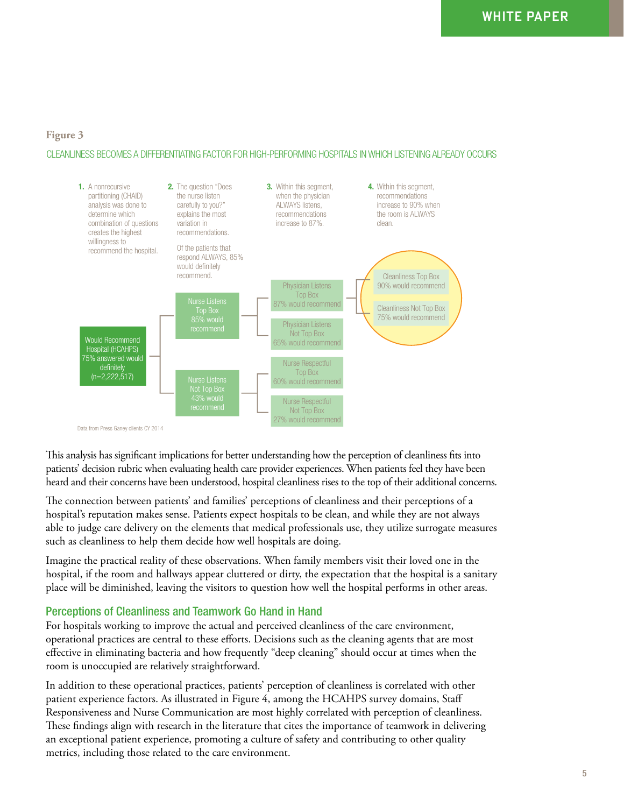### **Figure 3**

#### CLEANLINESS BECOMES A DIFFERENTIATING FACTOR FOR HIGH-PERFORMING HOSPITALS IN WHICH LISTENING ALREADY OCCURS



This analysis has significant implications for better understanding how the perception of cleanliness fits into patients' decision rubric when evaluating health care provider experiences. When patients feel they have been heard and their concerns have been understood, hospital cleanliness rises to the top of their additional concerns.

The connection between patients' and families' perceptions of cleanliness and their perceptions of a hospital's reputation makes sense. Patients expect hospitals to be clean, and while they are not always able to judge care delivery on the elements that medical professionals use, they utilize surrogate measures such as cleanliness to help them decide how well hospitals are doing.

Imagine the practical reality of these observations. When family members visit their loved one in the hospital, if the room and hallways appear cluttered or dirty, the expectation that the hospital is a sanitary place will be diminished, leaving the visitors to question how well the hospital performs in other areas.

#### Perceptions of Cleanliness and Teamwork Go Hand in Hand

For hospitals working to improve the actual and perceived cleanliness of the care environment, operational practices are central to these efforts. Decisions such as the cleaning agents that are most effective in eliminating bacteria and how frequently "deep cleaning" should occur at times when the room is unoccupied are relatively straightforward.

In addition to these operational practices, patients' perception of cleanliness is correlated with other patient experience factors. As illustrated in Figure 4, among the HCAHPS survey domains, Staff Responsiveness and Nurse Communication are most highly correlated with perception of cleanliness. These findings align with research in the literature that cites the importance of teamwork in delivering an exceptional patient experience, promoting a culture of safety and contributing to other quality metrics, including those related to the care environment.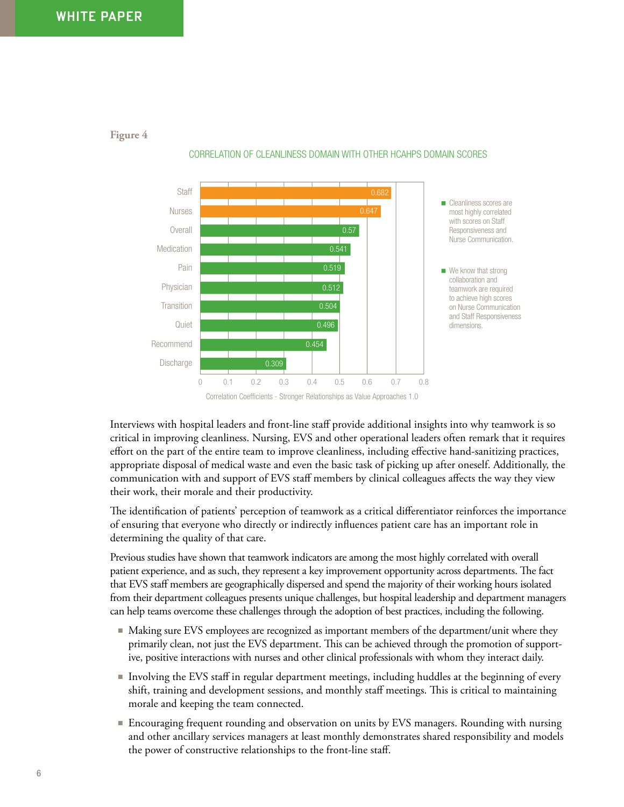

**Figure 4**

CORRELATION OF CLEANLINESS DOMAIN WITH OTHER HCAHPS DOMAIN SCORES

Interviews with hospital leaders and front-line staff provide additional insights into why teamwork is so critical in improving cleanliness. Nursing, EVS and other operational leaders often remark that it requires effort on the part of the entire team to improve cleanliness, including effective hand-sanitizing practices, appropriate disposal of medical waste and even the basic task of picking up after oneself. Additionally, the communication with and support of EVS staff members by clinical colleagues affects the way they view their work, their morale and their productivity.

The identification of patients' perception of teamwork as a critical differentiator reinforces the importance of ensuring that everyone who directly or indirectly influences patient care has an important role in determining the quality of that care.

Previous studies have shown that teamwork indicators are among the most highly correlated with overall patient experience, and as such, they represent a key improvement opportunity across departments. The fact that EVS staff members are geographically dispersed and spend the majority of their working hours isolated from their department colleagues presents unique challenges, but hospital leadership and department managers can help teams overcome these challenges through the adoption of best practices, including the following.

- Making sure EVS employees are recognized as important members of the department/unit where they primarily clean, not just the EVS department. This can be achieved through the promotion of supportive, positive interactions with nurses and other clinical professionals with whom they interact daily.
- Involving the EVS staff in regular department meetings, including huddles at the beginning of every shift, training and development sessions, and monthly staff meetings. This is critical to maintaining morale and keeping the team connected.
- Encouraging frequent rounding and observation on units by EVS managers. Rounding with nursing and other ancillary services managers at least monthly demonstrates shared responsibility and models the power of constructive relationships to the front-line staff.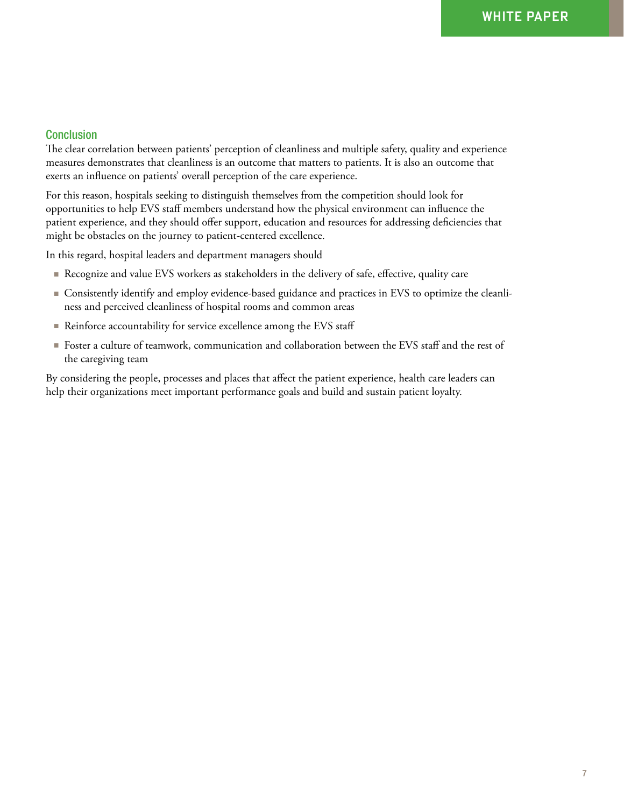## **Conclusion**

The clear correlation between patients' perception of cleanliness and multiple safety, quality and experience measures demonstrates that cleanliness is an outcome that matters to patients. It is also an outcome that exerts an influence on patients' overall perception of the care experience.

For this reason, hospitals seeking to distinguish themselves from the competition should look for opportunities to help EVS staff members understand how the physical environment can influence the patient experience, and they should offer support, education and resources for addressing deficiencies that might be obstacles on the journey to patient-centered excellence.

In this regard, hospital leaders and department managers should

- Recognize and value EVS workers as stakeholders in the delivery of safe, effective, quality care
- Consistently identify and employ evidence-based guidance and practices in EVS to optimize the cleanliness and perceived cleanliness of hospital rooms and common areas
- Reinforce accountability for service excellence among the EVS staff
- Foster a culture of teamwork, communication and collaboration between the EVS staff and the rest of the caregiving team

By considering the people, processes and places that affect the patient experience, health care leaders can help their organizations meet important performance goals and build and sustain patient loyalty.